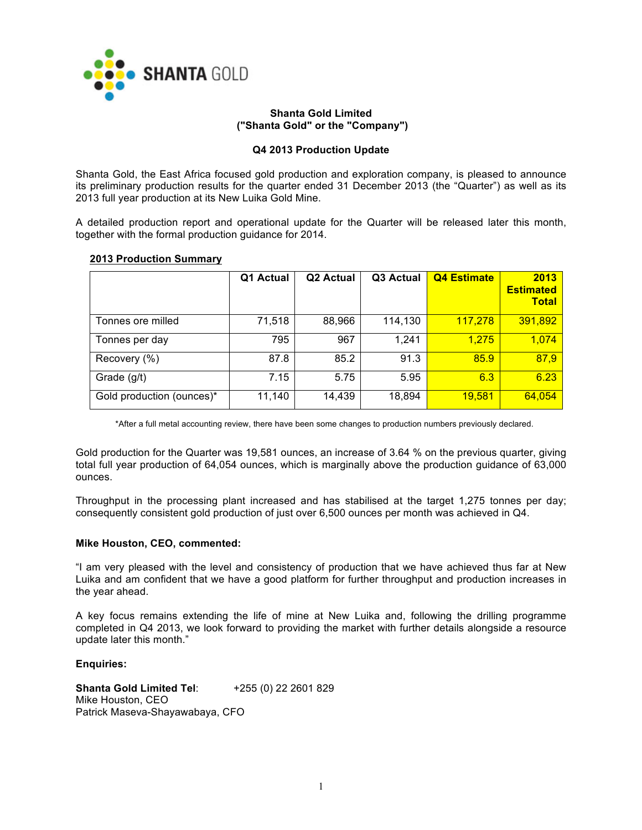

## **Shanta Gold Limited ("Shanta Gold" or the "Company")**

## **Q4 2013 Production Update**

Shanta Gold, the East Africa focused gold production and exploration company, is pleased to announce its preliminary production results for the quarter ended 31 December 2013 (the "Quarter") as well as its 2013 full year production at its New Luika Gold Mine.

A detailed production report and operational update for the Quarter will be released later this month, together with the formal production guidance for 2014.

## **2013 Production Summary**

|                           | Q1 Actual | Q <sub>2</sub> Actual | Q3 Actual | <b>Q4 Estimate</b> | 2013<br><b>Estimated</b><br><b>Total</b> |
|---------------------------|-----------|-----------------------|-----------|--------------------|------------------------------------------|
| Tonnes ore milled         | 71,518    | 88,966                | 114,130   | 117,278            | 391,892                                  |
| Tonnes per day            | 795       | 967                   | 1,241     | 1,275              | 1,074                                    |
| Recovery (%)              | 87.8      | 85.2                  | 91.3      | 85.9               | 87,9                                     |
| Grade (g/t)               | 7.15      | 5.75                  | 5.95      | 6.3                | 6.23                                     |
| Gold production (ounces)* | 11,140    | 14,439                | 18,894    | <u>19,581</u>      | 64,054                                   |

\*After a full metal accounting review, there have been some changes to production numbers previously declared.

Gold production for the Quarter was 19,581 ounces, an increase of 3.64 % on the previous quarter, giving total full year production of 64,054 ounces, which is marginally above the production guidance of 63,000 ounces.

Throughput in the processing plant increased and has stabilised at the target 1,275 tonnes per day; consequently consistent gold production of just over 6,500 ounces per month was achieved in Q4.

## **Mike Houston, CEO, commented:**

"I am very pleased with the level and consistency of production that we have achieved thus far at New Luika and am confident that we have a good platform for further throughput and production increases in the year ahead.

A key focus remains extending the life of mine at New Luika and, following the drilling programme completed in Q4 2013, we look forward to providing the market with further details alongside a resource update later this month."

## **Enquiries:**

**Shanta Gold Limited Tel**: +255 (0) 22 2601 829 Mike Houston, CEO Patrick Maseva-Shayawabaya, CFO